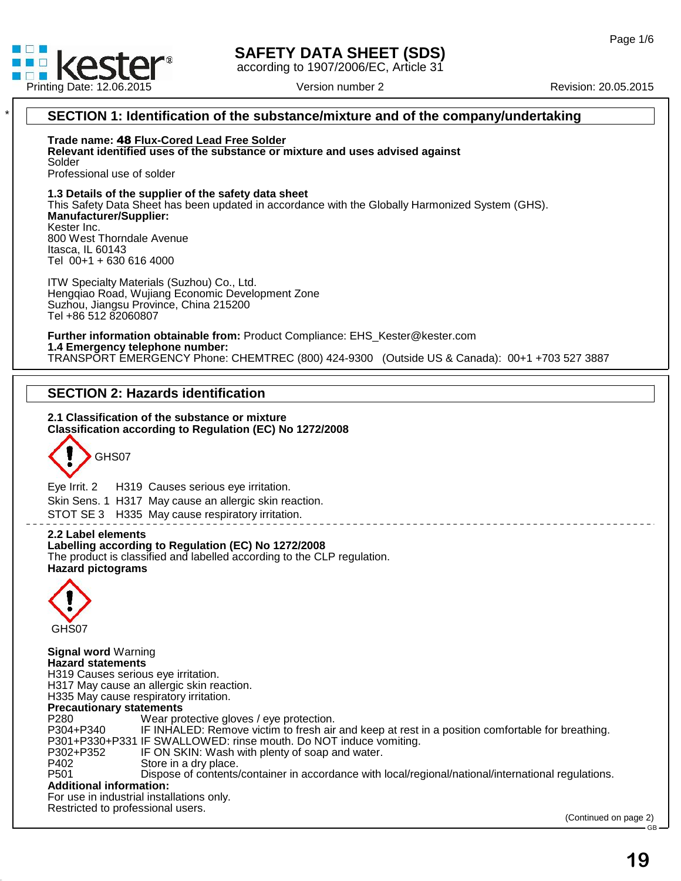

41.0

# **SAFETY DATA SHEET (SDS)**

according to 1907/2006/EC, Article 31

# \* **SECTION 1: Identification of the substance/mixture and of the company/undertaking** Professional use of solder **1.3 Details of the supplier of the safety data sheet** This Safety Data Sheet has been updated in accordance with the Globally Harmonized System (GHS). **Manufacturer/Supplier:** Kester Inc. 800 West Thorndale Avenue Itasca, IL 60143 Tel 00+1 + 630 616 4000 ITW Specialty Materials (Suzhou) Co., Ltd. Hengqiao Road, Wujiang Economic Development Zone Suzhou, Jiangsu Province, China 215200 Tel +86 512 82060807 **Further information obtainable from:** Product Compliance: EHS\_Kester@kester.com **1.4 Emergency telephone number:** TRANSPORT EMERGENCY Phone: CHEMTREC (800) 424-9300 (Outside US & Canada): 00+1 +703 527 3887 **SECTION 2: Hazards identification 2.1 Classification of the substance ormixture Classification according to Regulation (EC) No 1272/2008** GHS07 Eye Irrit.2 H319 Causes serious eye irritation. Skin Sens. 1 H317 May cause an allergic skin reaction. STOT SE 3 H335 May cause respiratory irritation. **2.2 Label elements Labelling according to Regulation (EC) No 1272/2008** The product is classified and labelled according to the CLP regulation. **Hazard pictograms** GHS07 **Signal word** Warning **Hazard statements** H319 Causes serious eye irritation. H317 May cause an allergic skin reaction. H335 May cause respiratory irritation. **Precautionary statements** P280 Wear protective gloves / eye protection.<br>P304+P340 IF INHALED: Remove victim to fresh air IF INHALED: Remove victim to fresh air and keep at rest in a position comfortable for breathing. P301+P330+P331 IF SWALLOWED: rinse mouth. Do NOT induce vomiting. P302+P352 IF ON SKIN: Wash with plenty of soap and water.<br>P402 Store in a dry place. P402 Store in a dry place.<br>P501 Dispose of contents. Dispose of contents/container in accordance with local/regional/national/international regulations. **Additional information:** For use in industrial installations only. Restricted to professional users. (Continued on page 2) Vers<br> **Trade name: 48 Flux-Cored Lead Free Solder<br>
Relevant identified uses of the substance or mixtur<br>
Solder Relevant 12.00.2015**<br> **RECTION 1: Identification of the substance/mixture and of the comparent<br>
Trade name: 48 Flux-Cored Lead Free Solder<br>
Relevant identified uses of the substance or mixture and uses advised against<br>
So**

 $GB \rightarrow$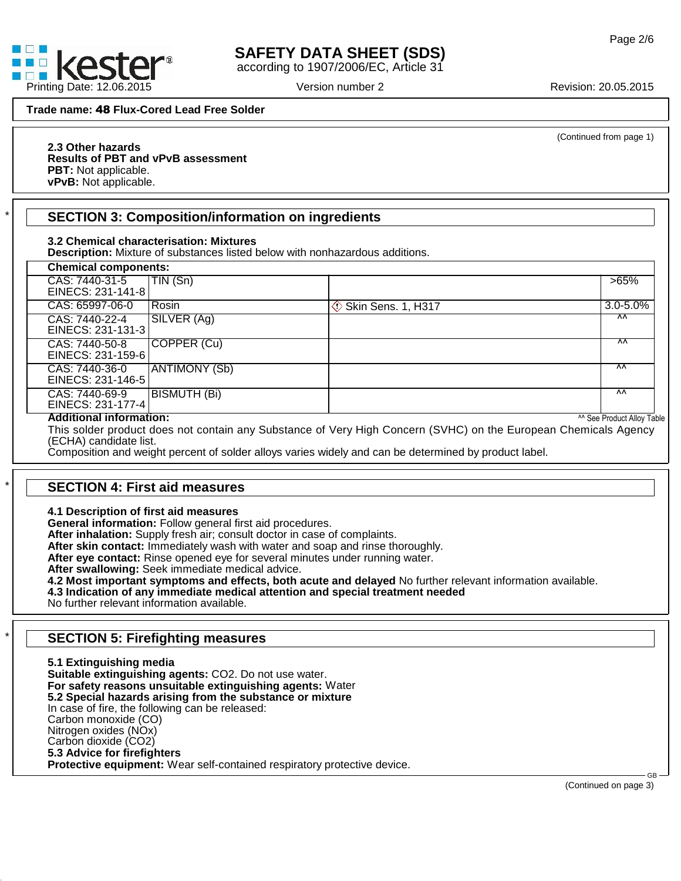

# **SAFETY DATA SHEET (SDS)**

according to 1907/2006/EC, Article 31

(Continued from page 1)

#### **2.3 Other hazards Results of PBT and vPvB assessment PBT:** Not applicable.

**vPvB:** Not applicable.

# \* **SECTION 3: Composition/information on ingredients**

## **3.2 Chemical characterisation: Mixtures**

| <b>Chemical components:</b>         |                     |                                |                                       |
|-------------------------------------|---------------------|--------------------------------|---------------------------------------|
| CAS: 7440-31-5<br>EINECS: 231-141-8 | TIN (Sn)            |                                | $>65\%$                               |
| CAS: 65997-06-0                     | l Rosin.            | <b>Skin Sens. 1, H317</b><br>◇ | $3.0 - 5.0%$                          |
| CAS: 7440-22-4<br>EINECS: 231-131-3 | SILVER (Ag)         |                                | ^^                                    |
| CAS: 7440-50-8<br>EINECS: 231-159-6 | COPPER (Cu)         |                                | $\overline{M}$                        |
| CAS: 7440-36-0<br>EINECS: 231-146-5 | ANTIMONY (Sb)       |                                | $\overline{M}$                        |
| CAS: 7440-69-9<br>EINECS: 231-177-4 | <b>BISMUTH (Bi)</b> |                                | $\overline{M}$                        |
| <b>Additional information:</b>      |                     |                                | <sup>^^</sup> See Product Alloy Table |

41.0

# \* **SECTION 4: First aid measures**

**4.1 Description of first aid measures**

**General information:** Follow general first aid procedures.

**After inhalation:** Supply fresh air; consult doctor in case of complaints.

**After skin contact:** Immediately wash with water and soap and rinse thoroughly.

**After eye contact:** Rinse opened eye for several minutes under running water.

**After swallowing:** Seek immediate medical advice.

**4.2 Most important symptoms and effects, both acute and delayed** No further relevant information available.

**4.3 Indication of any immediate medical attention and special treatment needed**

No further relevant information available.

# \* **SECTION 5: Firefighting measures**

**5.1 Extinguishing media Suitable extinguishing agents:** CO2. Do not use water. **For safety reasons unsuitable extinguishing agents:** Water **5.2 Special hazards arising from the substance or mixture** In case of fire, the following can be released: Carbon monoxide (CO) Nitrogen oxides (NOx) Carbon dioxide (CO2) **5.3 Advice for firefighters Protective equipment:** Wear self-contained respiratory protective device.

(Continued on page 3)

 $GB \rightarrow$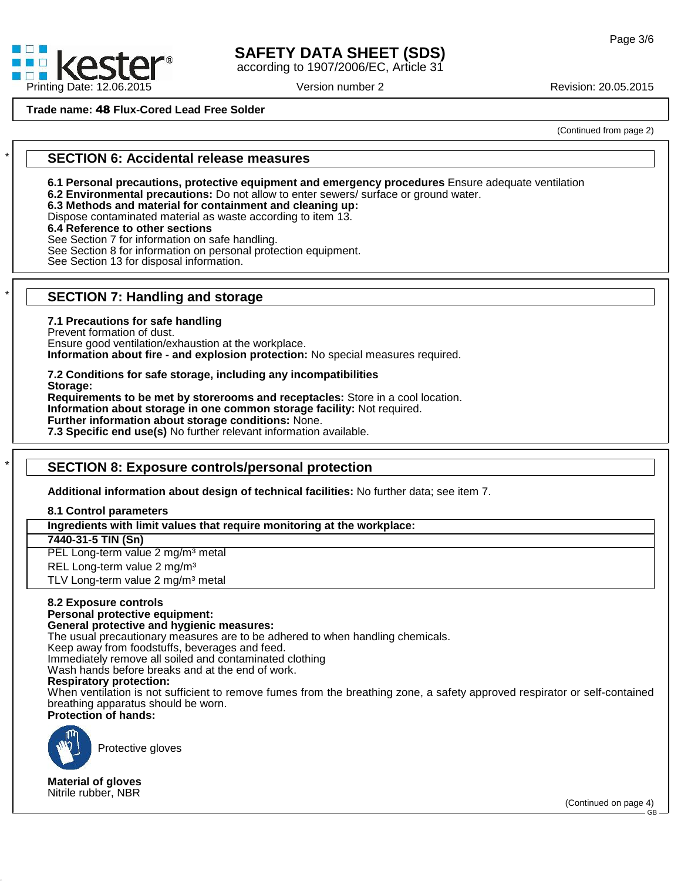

# **SAFETY DATA SHEET (SDS)**

according to 1907/2006/EC, Article 31

(Continued from page 2)

## \* **SECTION 6: Accidental release measures**

**6.1 Personal precautions, protective equipment and emergency procedures** Ensure adequate ventilation

**6.2 Environmental precautions:** Do not allow to enter sewers/ surface or ground water.

**6.3 Methods and material for containment and cleaning up:**

Dispose contaminated material as waste according to item 13.

### **6.4 Reference to other sections**

See Section 7 for information on safe handling.

See Section 8 for information on personal protection equipment.

See Section 13 for disposal information.

# \* **SECTION 7: Handling and storage**

### **7.1 Precautions for safe handling**

Prevent formation of dust. Ensure good ventilation/exhaustion at the workplace.

**Information about fire - and explosion protection:** No special measures required.

**7.2 Conditions for safe storage, including any incompatibilities Storage:**

**Requirements to be met by storerooms and receptacles:** Store in a cool location. **Information about storage in one common storage facility:** Not required. **Further information about storage conditions:** None.

**7.3 Specific end use(s)** No further relevant information available.

# \* **SECTION 8: Exposure controls/personal protection**

**Additional information about design of technical facilities:** No further data; see item 7.

**8.1 Control parameters**

**Ingredients with limit values that require monitoring at the workplace:**

**7440-31-5 TIN (Sn)**

PEL Long-term value 2 mg/m<sup>3</sup> metal

REL Long-term value 2 mg/m<sup>3</sup>

TLV Long-term value 2 mg/m<sup>3</sup> metal

#### **8.2 Exposure controls Personal protective equipment:**

# **General protective and hygienic measures:**

The usual precautionary measures are to be adhered to when handling chemicals.

Keep away from foodstuffs, beverages and feed.

Immediately remove all soiled and contaminated clothing

Wash hands before breaks and at the end of work.

#### **Respiratory protection:**

When ventilation is not sufficient to remove fumes from the breathing zone, a safety approved respirator or self-contained breathing apparatus should be worn.

**Protection of hands:**



41.0

Protective gloves

**Material of gloves** Nitrile rubber, NBR

(Continued on page 4) GB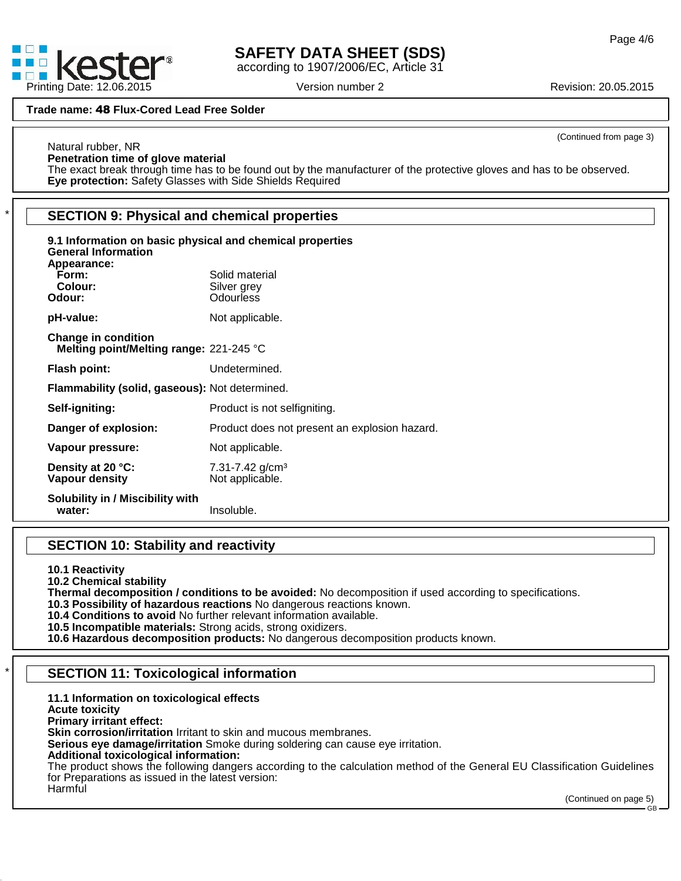

Natural rubber, NR

# **SAFETY DATA SHEET (SDS)**

according to 1907/2006/EC, Article 31

(Continued from page 3)

### **Penetration time of glove material** The exact break through time has to be found out by the manufacturer of the protective gloves and has to be observed.

**Eye protection:** Safety Glasses with Side Shields Required

# \* **SECTION 9: Physical and chemical properties**

| 9.1 Information on basic physical and chemical properties<br><b>General Information</b><br>Appearance: |                                                    |  |  |  |  |
|--------------------------------------------------------------------------------------------------------|----------------------------------------------------|--|--|--|--|
| Form:<br>Colour:                                                                                       | Solid material<br>Silver grey                      |  |  |  |  |
| Odour:                                                                                                 | <b>Odourless</b>                                   |  |  |  |  |
| pH-value:                                                                                              | Not applicable.                                    |  |  |  |  |
| <b>Change in condition</b><br>Melting point/Melting range: 221-245 °C                                  |                                                    |  |  |  |  |
| Flash point:                                                                                           | Undetermined.                                      |  |  |  |  |
| Flammability (solid, gaseous): Not determined.                                                         |                                                    |  |  |  |  |
| Self-igniting:                                                                                         | Product is not selfigniting.                       |  |  |  |  |
| Danger of explosion:                                                                                   | Product does not present an explosion hazard.      |  |  |  |  |
| Vapour pressure:                                                                                       | Not applicable.                                    |  |  |  |  |
| Density at 20 °C:<br>Vapour density                                                                    | $7.31 - 7.42$ g/cm <sup>3</sup><br>Not applicable. |  |  |  |  |
| <b>Solubility in / Miscibility with</b><br>water:                                                      | Insoluble.                                         |  |  |  |  |

# **SECTION 10: Stability and reactivity**

**10.1 Reactivity**

**10.2 Chemical stability**

**Thermal decomposition / conditions to be avoided:** No decomposition if used according to specifications.

**10.3 Possibility of hazardous reactions** No dangerous reactions known.

**10.4 Conditions to avoid** No further relevant information available.

**10.5 Incompatible materials:** Strong acids, strong oxidizers.

**10.6 Hazardous decomposition products:** No dangerous decomposition products known.

# \* **SECTION 11: Toxicological information**

## **11.1 Information on toxicological effects**

**Acute toxicity**

41.0

**Primary irritant effect:**

**Skin corrosion/irritation** Irritant to skin and mucous membranes.

**Serious eye damage/irritation** Smoke during soldering can cause eye irritation.

## **Additional toxicological information:**

The product shows the following dangers according to the calculation method of the General EU Classification Guidelines for Preparations as issued in the latest version: Harmful

(Continued on page 5) GB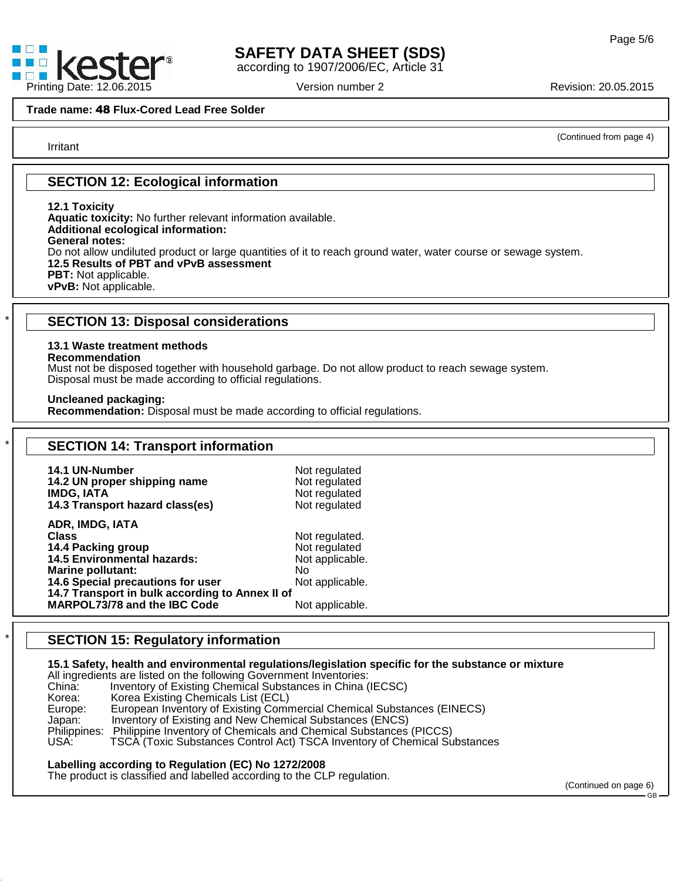

# **SAFETY DATA SHEET (SDS)**

according to 1907/2006/EC, Article 31

Irritant

(Continued from page 4)

## **SECTION 12: Ecological information**

**12.1 Toxicity**

**Aquatic toxicity:** No further relevant information available. **Additional ecological information: General notes:** Do not allow undiluted product or large quantities of it to reach ground water, water course or sewage system. **12.5 Results of PBT and vPvB assessment PBT:** Not applicable. **vPvB:** Not applicable.

# \* **SECTION 13: Disposal considerations**

#### **13.1 Waste treatment methods**

#### **Recommendation**

41.0

Must not be disposed together with household garbage. Do not allow product to reach sewage system. Disposal must be made according to official regulations.

**Uncleaned packaging:**

**Recommendation:** Disposal must be made according to official regulations.

| 14.1 UN-Number                                  | Not regulated   |  |
|-------------------------------------------------|-----------------|--|
| 14.2 UN proper shipping name                    | Not regulated   |  |
| <b>IMDG, IATA</b>                               | Not regulated   |  |
| 14.3 Transport hazard class(es)                 | Not regulated   |  |
| ADR, IMDG, IATA                                 |                 |  |
| <b>Class</b>                                    | Not regulated.  |  |
| 14.4 Packing group                              | Not regulated   |  |
| <b>14.5 Environmental hazards:</b>              | Not applicable. |  |
| Marine pollutant:                               | No.             |  |
| 14.6 Special precautions for user               | Not applicable. |  |
| 14.7 Transport in bulk according to Annex II of |                 |  |
| MARPOL73/78 and the IBC Code                    | Not applicable. |  |

# \* **SECTION 15: Regulatory information**

#### **15.1 Safety, health and environmental regulations/legislation specific for the substance or mixture**

All ingredients are listed on the following Government Inventories:<br>China: Inventory of Existing Chemical Substances in China ( Inventory of Existing Chemical Substances in China (IECSC) Korea: Korea Existing Chemicals List (ECL)<br>Europe: European Inventory of Existing Comr Europe: European Inventory of Existing Commercial Chemical Substances (EINECS)<br>Japan: Inventory of Existing and New Chemical Substances (ENCS) Inventory of Existing and New Chemical Substances (ENCS) Philippines: Philippine Inventory of Chemicals and Chemical Substances (PICCS) USA: TSCA (Toxic Substances Control Act) TSCA Inventory of Chemical Substances

### **Labelling according to Regulation (EC) No 1272/2008**

The product is classified and labelled according to the CLP regulation.

(Continued on page 6) GB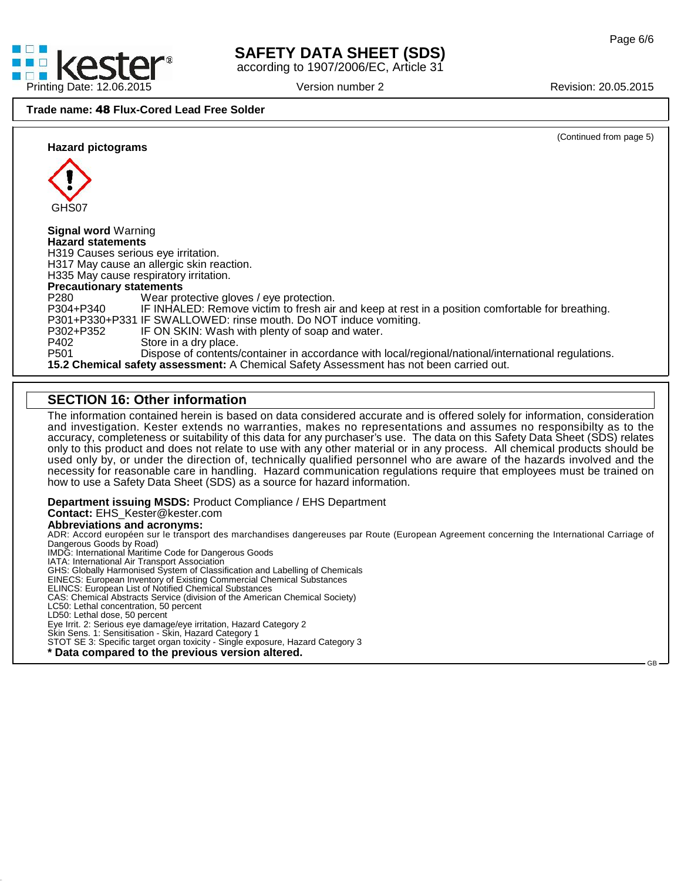$GB \rightarrow$ 



# **SAFETY DATA SHEET (SDS)**

according to 1907/2006/EC, Article 31



## **SECTION 16: Other information**

The information contained herein is based on data considered accurate and is offered solely for information, consideration and investigation. Kester extends no warranties, makes no representations and assumes no responsibilty as to the accuracy, completeness orsuitability of this data for any purchaser's use. The data on this Safety Data Sheet (SDS) relates only to this product and does notrelate to use with any other material or in any process. All chemical products should be used only by, or under the direction of, technically qualified personnel who are aware of the hazards involved and the necessity for reasonable care in handling. Hazard communication regulations require thatemployees must be trained on how to use a Safety Data Sheet (SDS) as a source for hazard information.

#### **Department issuing MSDS:** Product Compliance / EHS Department **Contact:** EHS\_Kester@kester.com

#### **Abbreviations and acronyms:**

ADR: Accord européen sur le transport des marchandises dangereuses par Route (European Agreement concerning the International Carriage of Dangerous Goods by Road) IMDG: International Maritime Code for Dangerous Goods

IATA: International Air Transport Association

GHS: Globally Harmonised System of Classification and Labelling of Chemicals

EINECS: European Inventory of Existing Commercial Chemical Substances

ELINCS: European List of Notified Chemical Substances

CAS: Chemical Abstracts Service (division of the American Chemical Society)

LC50: Lethal concentration, 50 percent

LD50: Lethal dose, 50 percent

41.0

Eye Irrit.2: Serious eye damage/eye irritation, Hazard Category 2

Skin Sens. 1: Sensitisation - Skin, Hazard Category 1

STOT SE 3: Specific target organ toxicity - Single exposure, Hazard Category 3

**\* Data compared to the previous version altered.**